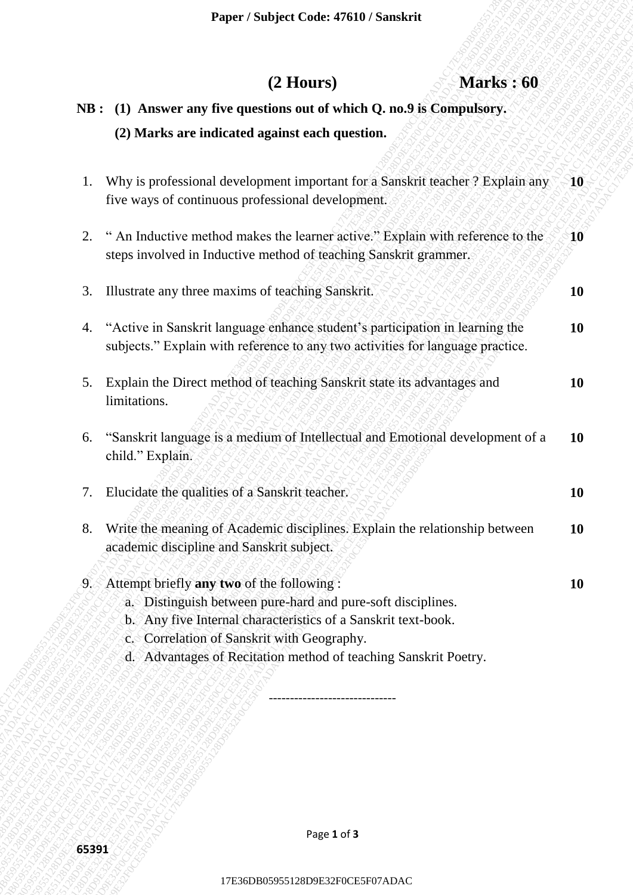## **(2 Hours) Marks : 60**

## **NB : (1) Answer any five questions out of which Q. no.9 is Compulsory. (2) Marks are indicated against each question.**

|       |                                                                                                                                                                                                                                                                                               | Paper / Subject Code: 47610 / Sanskrit                                                                                                                            |                                                                                |               |
|-------|-----------------------------------------------------------------------------------------------------------------------------------------------------------------------------------------------------------------------------------------------------------------------------------------------|-------------------------------------------------------------------------------------------------------------------------------------------------------------------|--------------------------------------------------------------------------------|---------------|
|       |                                                                                                                                                                                                                                                                                               | $(2$ Hours)                                                                                                                                                       | <b>Marks: 60</b>                                                               |               |
|       | NB : (1) Answer any five questions out of which Q. no.9 is Compulsory.                                                                                                                                                                                                                        |                                                                                                                                                                   |                                                                                |               |
|       | (2) Marks are indicated against each question.                                                                                                                                                                                                                                                |                                                                                                                                                                   |                                                                                |               |
| 1.    | five ways of continuous professional development.                                                                                                                                                                                                                                             |                                                                                                                                                                   | Why is professional development important for a Sanskrit teacher ? Explain any | $\mathbf{10}$ |
| 2.    | " An Inductive method makes the learner active." Explain with reference to the<br>steps involved in Inductive method of teaching Sanskrit grammer.                                                                                                                                            |                                                                                                                                                                   |                                                                                | 10            |
| 3.    | Illustrate any three maxims of teaching Sanskrit.                                                                                                                                                                                                                                             |                                                                                                                                                                   |                                                                                | <b>10</b>     |
|       |                                                                                                                                                                                                                                                                                               | 4. "Active in Sanskrit language enhance student's participation in learning the<br>subjects." Explain with reference to any two activities for language practice. |                                                                                | 10            |
| 5.    | Explain the Direct method of teaching Sanskrit state its advantages and<br>limitations.                                                                                                                                                                                                       |                                                                                                                                                                   |                                                                                | 10            |
| 6.    | child." Explain.                                                                                                                                                                                                                                                                              |                                                                                                                                                                   | "Sanskrit language is a medium of Intellectual and Emotional development of a  | <b>10</b>     |
| 7.    | Elucidate the qualities of a Sanskrit teacher.                                                                                                                                                                                                                                                |                                                                                                                                                                   |                                                                                | 10            |
| 8.    | Write the meaning of Academic disciplines. Explain the relationship between<br>academic discipline and Sanskrit subject.                                                                                                                                                                      |                                                                                                                                                                   |                                                                                | <b>10</b>     |
|       | 9. Attempt briefly any two of the following:<br>a. Distinguish between pure-hard and pure-soft disciplines.<br>b. Any five Internal characteristics of a Sanskrit text-book.<br>c. Correlation of Sanskrit with Geography.<br>d. Advantages of Recitation method of teaching Sanskrit Poetry. |                                                                                                                                                                   |                                                                                | 10            |
|       |                                                                                                                                                                                                                                                                                               |                                                                                                                                                                   |                                                                                |               |
|       |                                                                                                                                                                                                                                                                                               |                                                                                                                                                                   |                                                                                |               |
| 65391 |                                                                                                                                                                                                                                                                                               | Page 1 of 3                                                                                                                                                       |                                                                                |               |
|       |                                                                                                                                                                                                                                                                                               | 17E36DB05955128D9E32F0CE5F07ADAC                                                                                                                                  |                                                                                |               |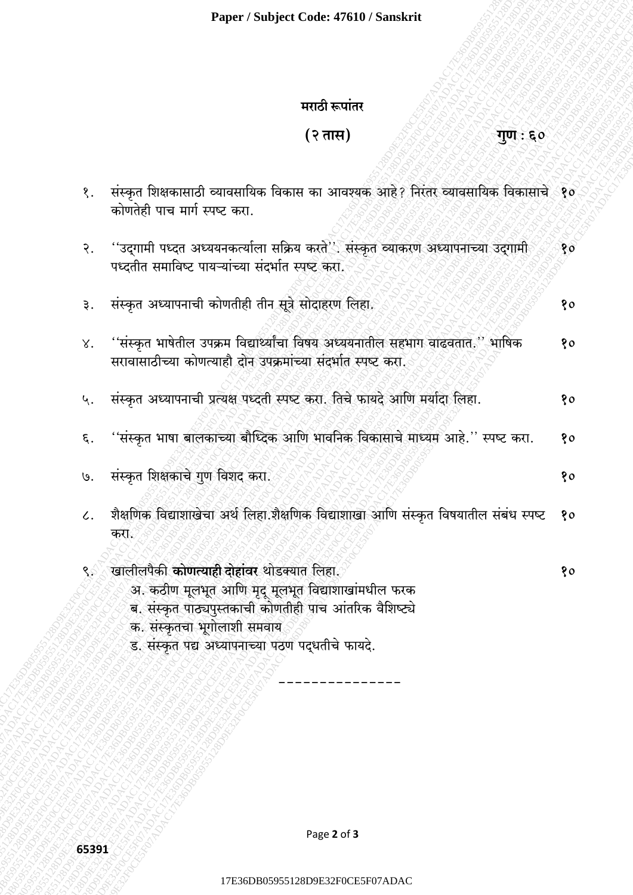## मराठी रूपांतर

# $(3 \pi R)$

## गुण : ६०

| १.              | संस्कृत शिक्षकासाठी व्यावसायिक विकास का आवश्यक आहे? निरंतर व्यावसायिक विकासाचे १०<br>कोणतेही पाच मार्ग स्पष्ट करा.                                                                                                                                    |    |
|-----------------|-------------------------------------------------------------------------------------------------------------------------------------------------------------------------------------------------------------------------------------------------------|----|
| २.              | ''उद्गामी पध्दत अध्ययनकर्त्याला सक्रिय करते''. संस्कृत व्याकरण अध्यापनाच्या उद्गामी<br>पध्दतीत समाविष्ट पायऱ्यांच्या संदर्भात स्पष्ट करा.                                                                                                             | 80 |
| ३.              | संस्कृत अध्यापनाची कोणतीही तीन सूत्रे सोदाहरण लिहा.                                                                                                                                                                                                   | १० |
| $X^{\bullet}$   | ''संस्कृत भाषेतील उपक्रम विद्यार्थ्यांचा विषय अध्ययनातील सहभाग वाढवतात.'' भाषिक<br>सरावासाठीच्या कोणत्याहौ दोन उपक्रमांच्या संदर्भात स्पष्ट करा.                                                                                                      | १० |
| ५.              | संस्कृत अध्यापनाची प्रत्यक्ष पध्दती स्पष्ट करा. तिचे फायदे आणि मर्यादा लिहा.                                                                                                                                                                          | १० |
| ξ.              | ''संस्कृत भाषा बालकाच्या बौध्दिक आणि भावनिक विकासाचे माध्यम आहे.'' स्पष्ट करा.                                                                                                                                                                        | 80 |
| U.              | संस्कृत शिक्षकाचे गुण विशद करा.                                                                                                                                                                                                                       | १० |
| $\mathcal{L}$ . | शैक्षणिक विद्याशाखेचा अर्थ लिहा शैक्षणिक विद्याशाखा आणि संस्कृत विषयातील संबंध स्पष्ट<br>करा.                                                                                                                                                         | १० |
| ९े              | खालीलपैकी <b>कोणत्याही दोहांवर</b> थोडक्यात लिहा.<br>अ. कठीण मूलभूत आणि मृद् मूलभूत विद्याशाखांमधील फरक<br>ब. संस्कृत पाठ्यपुस्तकाची कोणतीही पाच आंतरिक वैशिष्ट्ये<br>क. संस्कृतचा भूगोलाशी समवाय<br>ड. संस्कृत पद्य अध्यापनाच्या पठण पद्धतीचे फायदे. | १o |
|                 |                                                                                                                                                                                                                                                       |    |

Page 2 of 3